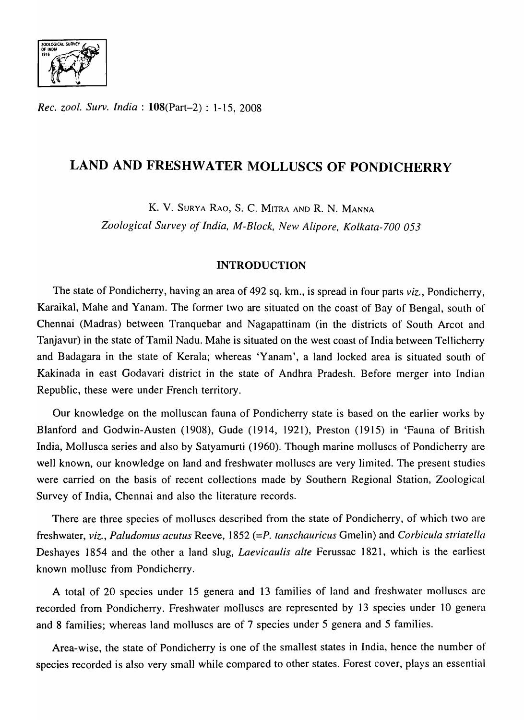

*Rec. zool. Surv. India*: **108**(Part-2): 1-15, 2008

# **LAND AND FRESHWATER MOLLUSCS OF PONDICHERRY**

K. V. SURYA RAO, S. C. MITRA AND R. N. MANNA

*Zoological Survey of India, M-Block, New Alipore, Kolkata-700 053* 

# **INTRODUCTION**

The state of Pondicherry, having an area of 492 sq. km., is spread in four parts *viz.,* Pondicherry, Karaikal, Mahe and Yanam. The former two are situated on the coast of Bay of Bengal, south of Chennai (Madras) between Tranquebar and Nagapattinam (in the districts of South Arcot and Tanjavur) in the state of Tamil Nadu. Mahe is situated on the west coast of India between Tellicherry and Badagara in the state of Kerala; whereas 'Yanam', a land locked area is situated south of Kakinada in east Godavari district in the state of Andhra Pradesh. Before merger into Indian Republic, these were under French territory.

Our knowledge on the molluscan fauna of Pondicherry state is based on the earlier works by Blanford and Godwin-Austen (1908), Gude (1914, 1921), Preston (1915) in 'Fauna of British India, Mollusca series and also by Satyamurti (1960). Though marine molluscs of Pondicherry are well known, our knowledge on land and freshwater molluscs are very limited. The present studies were carried on the basis of recent collections made by Southern Regional Station, Zoological Survey of India, Chennai and also the literature records.

There are three species of molluscs described from the state of Pondicherry, of which two are freshwater, *viz., Paludomus acutus Reeve, 1852 (=P. tanschauricus Gmelin)* and *Corbicula striatella* Deshayes 1854 and the other a land slug, *Laevicaulis alte* Ferussac 1821, which is the earliest known mollusc from Pondicherry.

A total of 20 species under 15 genera and 13 families of land and freshwater molluscs are recorded from Pondicherry. Freshwater molluscs are represented by 13 species under 10 genera and 8 families; whereas land molluscs are of 7 species under 5 genera and 5 families.

Area-wise, the state of Pondicherry is one of the smallest states in India, hence the number of species recorded is also very small while compared to other states. Forest cover, plays an essential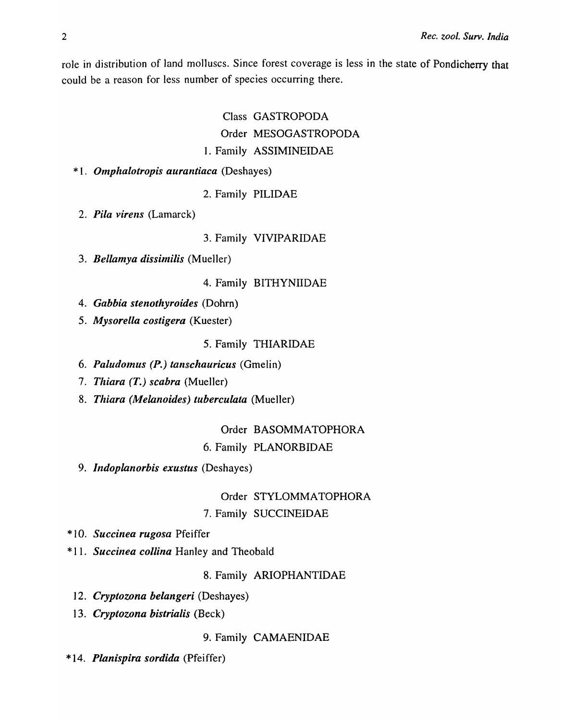role in distribution of land molluscs. Since forest coverage is less in the state of Pondicherry that could be a reason for less number of species occurring there.

> Class GASTROPODA Order MESOGASTROPODA 1. Family ASSIMlNEIDAE

\* 1. *Omphalotropis aurantiaca* (Deshayes)

2. Family PILIDAE

2. *Pila virens* (Lamarck)

3. Family VIVIPARIDAE

*3. Bellamya dissimilis* (Mueller)

4. Family BITHYNIIDAE

- *4. Gabbia stenothyroides* (Dohrn)
- *5. Mysorella costigera* (Kuester)

5. Family THIARIDAE

- *6. Paludomus* (P.) *tanschauricus* (Gmelin)
- *7. Thiara (T.) scabra* (Mueller)
- *8. Thiara (Melanoides) tuberculata* (Mueller)

# Order BASOMMATOPHORA

# 6. Family PLANORBIDAE

*9. Indoplanorbis exustus* (Deshayes)

Order STYLOMMATOPHORA 7. Family SUCCINEIDAE

- \* 10. *Succinea rugosa* Pfeiffer
- \* 11. *Succinea collina* Hanley and Theobald

8. Family ARIOPHANTIDAE

- *12. Cryptozona belangeri* (Deshayes)
- *13. Cryptozona bistrialis* (Beck)

9. Family CAMAENIDAE

\* 14. *Planispira sordida* (Pfeiffer)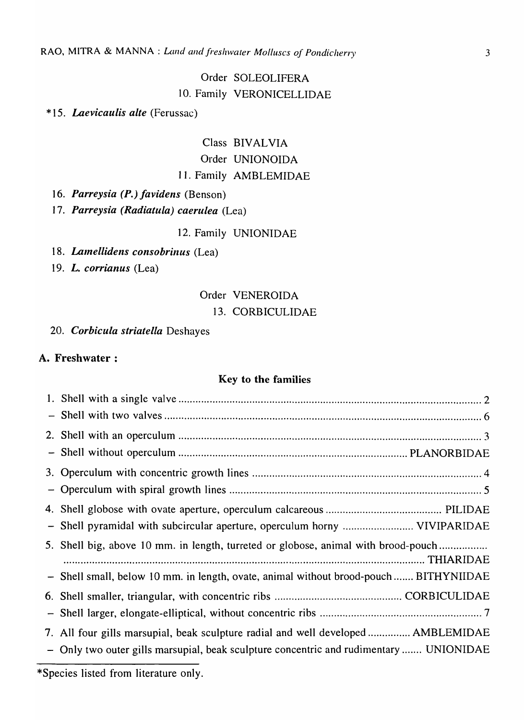# Order SOLEOLIFERA 10. Family VERONICELLIDAE

\* 15. *Laevicaulis alte* (Ferussac)

# Class BIVALVIA Order UNIONOIDA 11. Family AMBLEMIDAE

*16. Parreysia (P.) favidens* (Benson)

*17. Parreysia (Radiatula) caerulea* (Lea)

12. Family UNIONIDAE

18. Lamellidens consobrinus (Lea)

*19. L. corrianus* (Lea)

# Order VENEROIDA 13. CORBICULIDAE

*20. Corbicula striatella* Deshayes

# A. Freshwater:

# Key to the families

| - Shell pyramidal with subcircular aperture, operculum horny  VIVIPARIDAE              |
|----------------------------------------------------------------------------------------|
| 5. Shell big, above 10 mm. in length, turreted or globose, animal with brood-pouch     |
| - Shell small, below 10 mm. in length, ovate, animal without brood-pouch  BITHYNIIDAE  |
|                                                                                        |
|                                                                                        |
| 7. All four gills marsupial, beak sculpture radial and well developed  AMBLEMIDAE      |
| - Only two outer gills marsupial, beak sculpture concentric and rudimentary  UNIONIDAE |
|                                                                                        |

\*Species listed from literature only.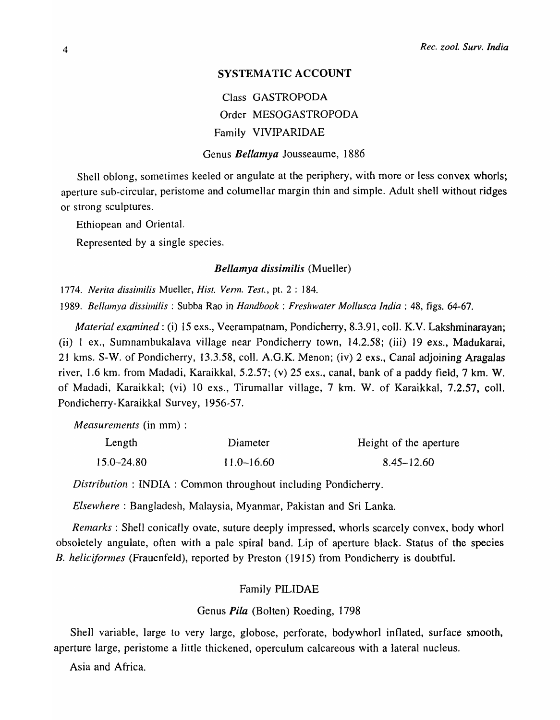# SYSTEMATIC ACCOUNT

Class GASTROPODA Order MESOGASTROPODA Family VIVIPARIDAE

Genus *Bellamya* Jousseaume, 1886

Shell oblong, sometimes keeled or angulate at the periphery, with more or less convex whorls; aperture sub-circular, peristome and columellar margin thin and simple. Adult shell without ridges or strong sculptures.

Ethiopean and Oriental.

Represented by a single species.

# *Bellamya dissinlilis* (Mueller)

*1774. Nerita dissimilis* MueJ]er, *Hist. Verm. Test.,* pt. 2 : 184.

*1989. Bellamya dissimilis* : Subba Rao in *Handbook: Freshwater Mollusca India:* 48, figs. 64-67.

*Material examined:* (i) 15 exs., Veerampatnam, Pondicherry, 8.3.91, colI. K.V. Lakshminarayan; (ii) 1 ex., Sumnambukalava village near Pondicherry town, 14.2.58; (iii) 19 exs., Madukarai, 21 kms. S-W. of Pondicherry, 13.3.58, coIl. A.G.K. Menon; (iv) 2 exs., Canal adjoining Aragalas river, 1.6 km. from Madadi, Karaikkal, 5.2.57; (v) 25 exs., canal, bank of a paddy field, 7 km. W. of Madadi, Karaikkal; (vi) 10 exs., TirumalIar village, 7 km. W. of Karaikkal, 7.2.57, colI. Pondicherry-Karaikkal Survey, 1956-57.

*Measurements* (in mm) :

| Length     | Diameter       | Height of the aperture |
|------------|----------------|------------------------|
| 15.0–24.80 | $11.0 - 16.60$ | $8.45 - 12.60$         |

*Distribution:* INDIA: Common throughout including Pondicherry.

*Elsewhere:* Bangladesh, Malaysia, Myanmar, Pakistan and Sri Lanka.

*Remarks* : Shell conically ovate, suture deeply impressed, whorls scarcely convex, body whorl obsoletely angulate, often with a pale spiral band. Lip of aperture black. Status of the species *B. heliciformes* (Frauenfeld), reported by Preston (1915) from Pondicherry is doubtful.

# Family PILIDAE

# Genus *Pita* (Bolten) Roeding, 1798

ShelI variable, large to very large, globose, perforate, bodywhorl inflated, surface smooth, aperture large, peristome a little thickened, operculum calcareous with a lateral nucleus.

Asia and Africa.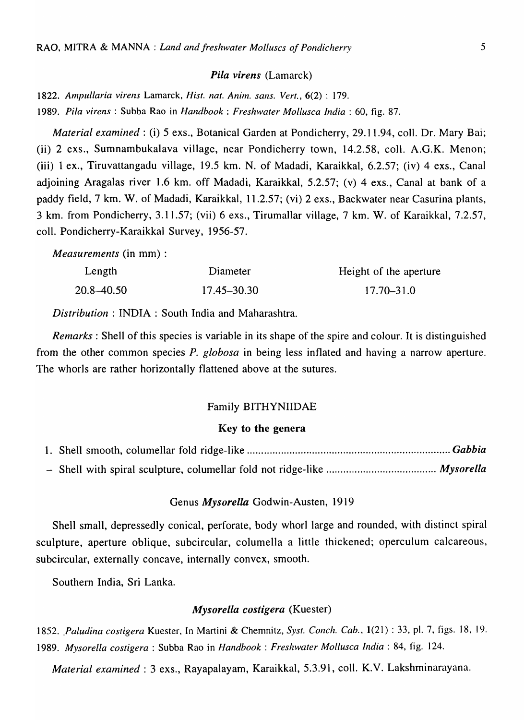#### *Pi/a virens* (Lamarck)

*1822. Ampullaria virens* Lamarck, *Hist. nat. Anim. sans. Vert.,* 6(2) : 179.

*1989. Pila v;rens* : Subba Rao in *Handbook: Freshwater Mollusca India:* 60, fig. 87.

*Material examined:* (i) 5 exs., Botanical Garden at Pondicherry, 29.11.94, colI. Dr. Mary Bai; (ii) 2 exs., Sumnambukalava village, near Pondicherry town, 14.2.58, colI. A.G.K. Menon; (iii) 1 ex., Tiruvattangadu village, 19.5 km. N. of Madadi, Karaikkal, 6.2.57; (iv) 4 exs., Canal adjoining Aragalas river 1.6 km. off Madadi, Karaikkal, 5.2.57; (v) 4 exs., Canal at bank of a paddy field, 7 km. W. of Madadi, Karaikkal, 11.2.57; (vi) 2 exs., Backwater near Casurina plants, 3 km. from Pondicherry, 3.11.57; (vii) 6 exs., Tirumallar village, 7 km. W. of Karaikkal, 7.2.57, colI. Pondicherry-Karaikkal Survey, 1956-57.

*Measurements* (in mm) :

| Length     | Diameter    | Height of the aperture |
|------------|-------------|------------------------|
| 20.8–40.50 | 17.45–30.30 | 17.70–31.0             |

*Distribution* : INDIA: South India and Maharashtra.

*Remarks* : Shell of this species is variable in its shape of the spire and colour. It is distinguished from the other common species *P. globosa* in being less inflated and having a narrow aperture. The whorls are rather horizontally flattened above at the sutures.

#### Family BITHYNIIDAE

# Key to the genera

#### Genus *Mysorella* Godwin-Austen, 19 19

Shell small, depressedly conical, perforate, body whorl large and rounded, with distinct spiral sculpture, aperture oblique, subcircular, columella a little thickened; operculum calcareous, subcircular, externally concave, internally convex, smooth.

Southern India, Sri Lanka.

# *Mysorella costigera* (Kuester)

*1852 .. Paludina costigera* Kuester, In Martini & Chemnitz, *Syst. Conch. Cab.,* 1(21) : 33, pI. 7, figs. 18, 19. *1989. Mysorella costigera* : Subba Rao in *Handbook: Freshwater Mollusca India:* 84, fig. 124.

*Material examined:* 3 exs., Rayapalayam, Karaikkal, 5.3.91, colI. K.V. Lakshminarayana.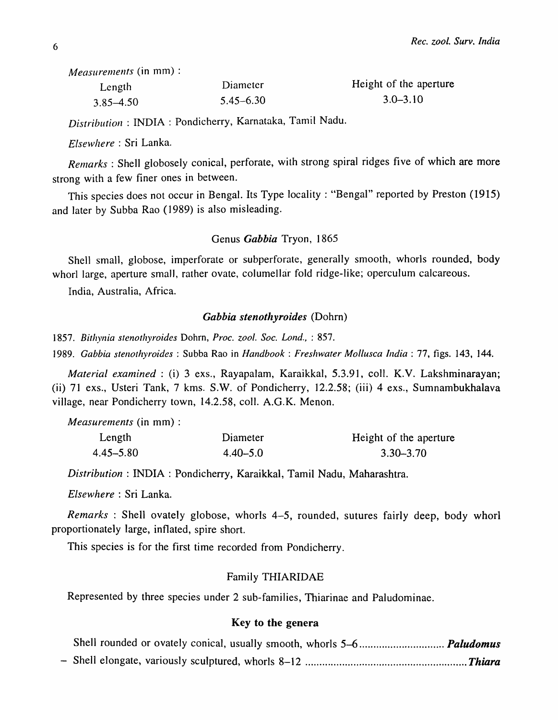*Measurements* (in mm) :

| Length        | Diameter      | Height of the aperture |
|---------------|---------------|------------------------|
| $3.85 - 4.50$ | $5.45 - 6.30$ | $3.0 - 3.10$           |

*Distribution:* INDIA: Pondicherry, Karnataka, Tamil Nadu.

*Elsewhere:* Sri Lanka.

*Remarks* : Shell globosely conical, perforate, with strong spiral ridges five of which are more strong with a few finer ones in between.

This species does not occur in Bengal. Its Type locality: "Bengal" reported by Preston (1915) and later by Subba Rao (1989) is also misleading.

# Genus *Gabbia* Tryon, 1865

Shell small, globose, imperforate or subperforate, generally smooth, whorls rounded, body whorl large, aperture small, rather ovate, columellar fold ridge-like; operculum calcareous.

India, Australia, Africa.

#### *Gabbia stenothyroides* (Dohrn)

*1857. Bithynia stenothyroides* Dohrn, *Proc. zoof. Soc. Lond.,* : 857.

*1989. Gabbia stenothyroides* : Subba Rao in *Handbook: Freshwater Mollusca India:* 77, figs. 143, 144.

*Material examined:* (i) 3 exs., Rayapalam, Karaikkal, 5.3.91, coIl. K.V. Lakshminarayan; (ii) 71 exs., Usteri Tank, 7 kms. S.W. of Pondicherry, 12.2.58; (iii) 4 exs., Sumnambukhalava village, near Pondicherry town, 14.2.58, colI. A.G.K. Menon.

*Measurements* (in mm) :

| Length        | Diameter     | Height of the aperture |
|---------------|--------------|------------------------|
| $4.45 - 5.80$ | $4.40 - 5.0$ | $3.30 - 3.70$          |

*Distribution* : INDIA: Pondicherry, Karaikkal, Tamil Nadu, Maharashtra.

*Elsewhere:* Sri Lanka.

*Remarks* : Shell ovately globose, whorls 4-5, rounded, sutures fairly deep, body whorl proportionately large, inflated, spire short.

This species is for the first time recorded from Pondicherry.

#### Family THIARIDAE

Represented by three species under 2 sub-families, Thiarinae and Paludominae.

# Key to the genera

- Shell elongate, variously sculptured, whorls 8-12 ......................................................... *Thiara*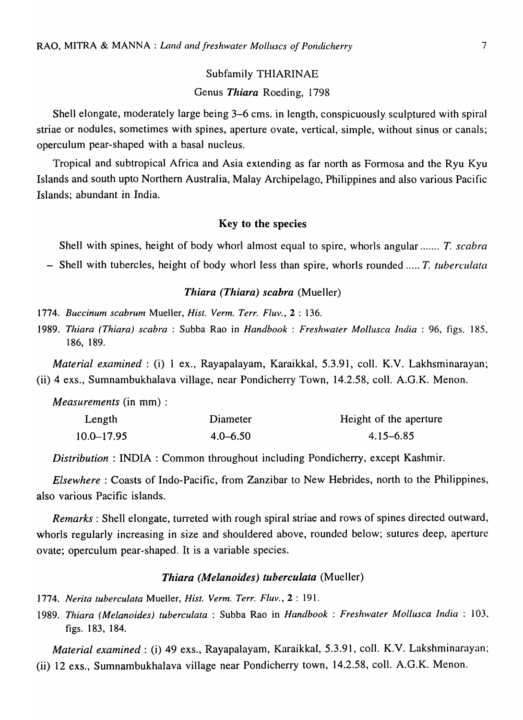Subfamily THIARINAE Genus *Thiara* Roeding, 1798

Shell elongate, moderately large being 3-6 cms. in length, conspicuously sculptured with spiral striae or nodules, sometimes with spines, aperture ovate, vertical, simple, without sinus or canals; operculum pear-shaped with a basal nucleus.

Tropical and subtropical Africa and Asia extending as far north as Formosa and the Ryu Kyu Islands and south upto Northern Australia, Malay Archipelago, Philippines and also various Pacific Islands; abundant in India.

## Key to the species

Shell with spines, height of body whorl almost equal to spire, whorls angular ....... *T. scabra* 

- Shell with tubercles, height of body whorl less than spire, whorls rounded ..... *T. tuberculata* 

# *Thiara (Thiara) scabra* (Mueller)

*1774. Buccinum scabrum* Mueller, *Hist. Verm. Terr. Fluv.,* 2 : 136.

*1989. Tiziara (Thiara) scabra* : Subba Rao in *Handbook* ; *Freshwater Mollusca India* ; 96, figs. 185, 186, 189.

*Material examined:* (i) 1 ex., Rayapalayam, Karaikkal, 5.3.91, colI. K.V. Lakhsminarayan; (ii) 4 exs., Sumnambukhalava village, near Pondicherry Town, 14.2.58, colI. A.G.K. Menon.

*Measurements* (in mm) :

| Length     | Diameter     | Height of the aperture |
|------------|--------------|------------------------|
| 10.0–17.95 | $4.0 - 6.50$ | 4.15–6.85              |

*Distribution* : INDIA: Common throughout including Pondicherry, except Kashmir.

*Elsewhere:* Coasts of Indo-Pacific, from Zanzibar to New Hebrides, north to the Philippines, also various Pacific islands.

*Remarks:* Shell elongate, turreted with rough spiral striae and rows of spines directed outward, whorls regularly increasing in size and shouldered above, rounded below; sutures deep, aperture ovate; operculum pear-shaped. It is a variable species.

# *Thiara (Melanoides) tuberculata* (Mueller)

*1774. Nerita tuberculata* Mueller, *Hist. Verm. Terr. Fluv.,* 2 : 191.

*1989. Thiara (Melanoides) tuberculata* : Subba Rao in *Handbook: Freshwater Mollusca India:* 103, figs. 183, 184.

*Material examined:* (i) 49 exs., Rayapalayam, Karaikkal, 5.3.91, colI. K.V. Lakshminarayan; (ii) 12 exs., Sumnambukhalava village near Pondicherry town, 14.2.58, colI. A.G.K. Menon.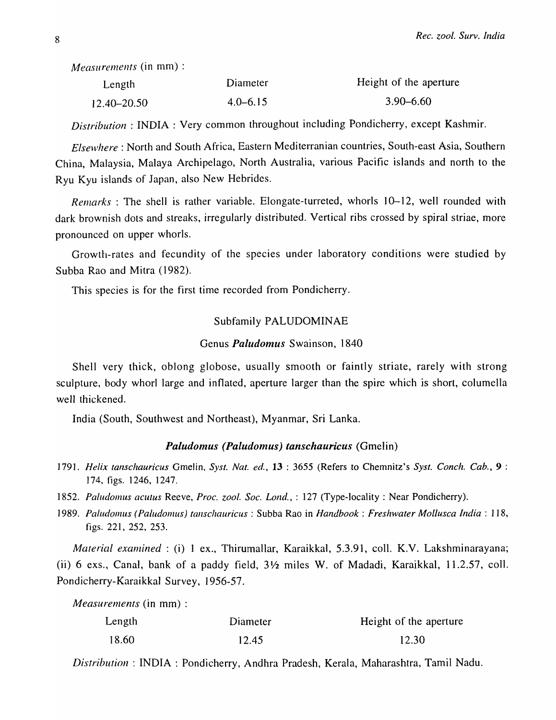*MeaSlirenlents* (in mm) :

| Length      | Diameter     | Height of the aperture |
|-------------|--------------|------------------------|
| 12.40–20.50 | $4.0 - 6.15$ | $3.90 - 6.60$          |

*Distribution:* INDIA: Very common throughout including Pondicherry, except Kashmir.

Elsewhere : North and South Africa, Eastern Mediterranian countries, South-east Asia, Southern China, Malaysia, Malaya Archipelago, North Australia, various Pacific islands and north to the Ryu Kyu islands of Japan, also New Hebrides.

*Remarks*: The shell is rather variable. Elongate-turreted, whorls 10–12, well rounded with dark brownish dots and streaks, irregularly distributed. Vertical ribs crossed by spiral striae, more pronounced on upper whorls.

Growth-rates and fecundity of the species under laboratory conditions were studied by Subba Rao and Mitra (1982).

This species is for the first time recorded from Pondicherry.

# Subfamily PALUDOMINAE

#### Genus *Paludomus* Swainson, 1840

Shell very thick, oblong globose, usually smooth or faintly striate, rarely with strong sculpture, body whorl large and inflated, aperture larger than the spire which is short, columella well thickened.

India (South, Southwest and Northeast), Myanmar, Sri Lanka.

# *Paludomus (Paludomus) tanschauricus* (Gmelin)

- *1791. Helix tanschauricus* Gmelin, *Syst. Nat. ed.,* **13** : 3655 (Refers to Chemnitz's *Syst. Conch. Cab.,* 9 : 174, figs. 1246, 1247.
- *1852. Paludomus acutus* Reeve, *Proc. zool. Soc. Lond.,* : 127 (Type-locality: Near Pondicherry).
- *1989. Pallldo/1lus (Paludol1lus) tallsclzauricus* : Subba Rao in *Handbook: Freshwater Mollusca India:* ] 18, figs. 221, 252, 253.

*Material examined* : (i) 1 ex., Thirumallar, Karaikkal, 5.3.91, coll. K.V. Lakshminarayana; (ii) 6 exs., Canal, bank of a paddy field, 3 *Y2* miles W. of Madadi, Karaikkal, 11.2.57, colI. Pondicherry-Karaikkal Survey, 1956-57.

*Measurenlents* (in mm) :

| Length | Diameter | Height of the aperture |
|--------|----------|------------------------|
| 18.60  | 12.45    | 12.30                  |

*Distribution:* INDIA: Pondicherry, Andhra Pradesh, Kerala, Maharashtra, Tamil Nadu.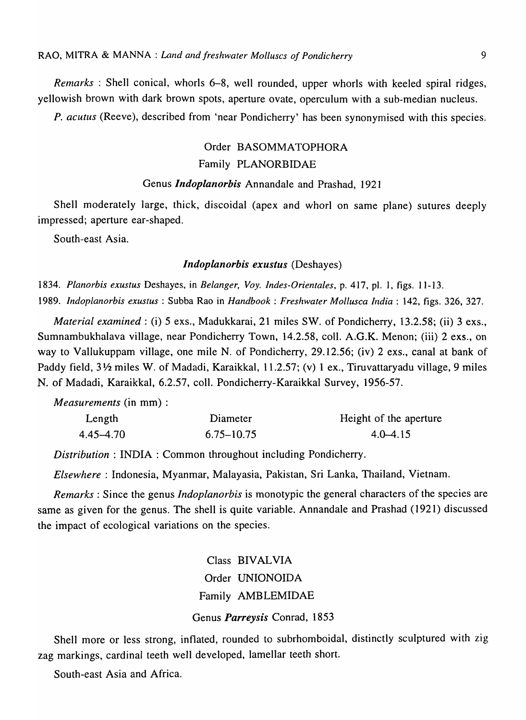*Remarks* : Shell conical, whorls 6-8, well rounded, upper whorls with keeled spiral ridges, yellowish brown with dark brown spots, aperture ovate, operculum with a sub-median nucleus.

*P. acutus* (Reeve), described from 'near Pondicherry' has been synonymised with this species.

# Order BASOMMATOPHORA Family PLANORBIDAE

# Genus *Indoplanorbis* Annandale and Prashad, 1921

Shell moderately large, thick, discoidal (apex and whorl on same plane) sutures deeply impressed; aperture ear-shaped.

South-east Asia.

# *Indoplanorhis exustus* (Deshayes)

*1834. Planorbis exustus* Deshayes, in *Belanger,* Voy. *fndes-Orientales,* p. 417, pI. 1, figs. 11-13. *1989. fndoplanorbis exustus* : Subba Rao in *Handbook: Freshwater Mollusca fndia* : 142, figs. 326, 327.

*Material examined:* (i) 5 exs., Madukkarai, 21 miles SW. of Pondicherry, 13.2.58; (ii) 3 exs., Sumnambukhalava village, near Pondicherry Town, 14.2.58, coIl. A.G.K. Menon; (iii) 2 exs., on way to Vallukuppam viIlage, one mile N. of Pondicherry, 29.12.56; (iv) 2 exs., canal at bank of Paddy field, 3½ miles W. of Madadi, Karaikkal, 11.2.57; (v) 1 ex., Tiruvattaryadu village, 9 miles N. of Madadi, Karaikkal, 6.2.57, colI. Pondicherry-Karaikkal Survey, 1956-57.

*Measurements* (in mm) :

| Length    | Diameter       | Height of the aperture |
|-----------|----------------|------------------------|
| 4.45–4.70 | $6.75 - 10.75$ | $4.0 - 4.15$           |

*Distribution* : INDIA: Common throughout including Pondicherry.

*Elsewhere:* Indonesia, Myanmar, Malayasia, Pakistan, Sri Lanka, Thailand, Vietnam.

*Remarks:* Since the genus *Indoplanorbis* is monotypic the general characters of the species are same as given for the genus. The shell is quite variable. Annandale and Prashad (1921) discussed the impact of ecological variations on the species.

> Class BIVALVIA Order UNIONOIDA Family AMBLEMIDAE Genus *Parreysis* Conrad, 1853

Shell more or less strong, inflated, rounded to subrhomboidal, distinctly sculptured with zig zag markings, cardinal teeth well developed, lameIlar teeth short.

South-east Asia and Africa.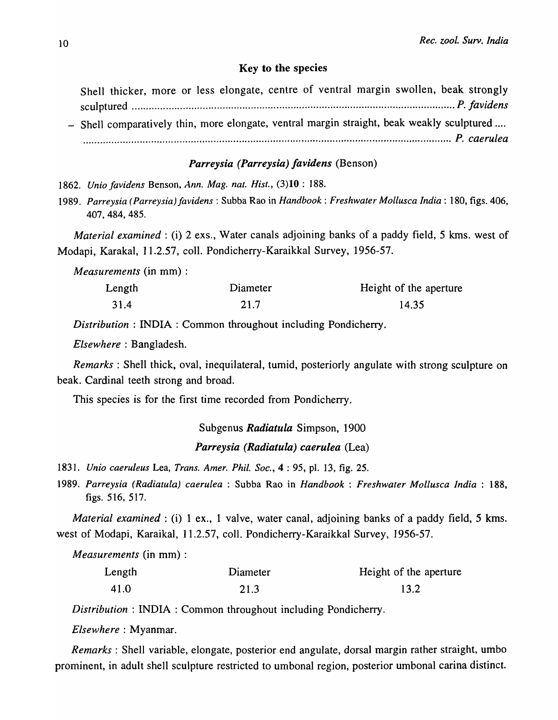### Key to the species

Shell thicker, more or less elongate, centre of ventral margin swollen, beak strongly sculptured .................................................................................................................. *P. favidens*  - Shell comparatively thin, more elongate, ventral margin straight, beak weakly sculptured .... .................................................................................................................................. *P. caerulea* 

# *Parreysia (Parreysia) favidens* (Benson)

*1862. Unio favidens* Benson, *Ann. Mag. nat. Hist.,* (3)10 : 188.

*1989. Parreysia (Parreysia) favidens* : Subba Rao in *Handbook: Freshwater Mollusca India:* 180, figs. 406, 407,484,485.

*Material examined*: (i) 2 exs., Water canals adjoining banks of a paddy field, 5 kms. west of Modapi, Karakal, 11.2.57, colI. Pondicherry-Karaikkal Survey, 1956-57.

*Measurements* (in mm) :

| Length | Diameter | Height of the aperture |
|--------|----------|------------------------|
| 31.4   | 21.7     | 14.35                  |

*Distribution* : INDIA: Common throughout including Pondicherry.

*Elsewhere:* Bangladesh.

*Remarks:* Shell thick, oval, inequilateraI, tumid, posteriorly angulate with strong sculpture on beak. Cardinal teeth strong and broad.

This species is for the first time recorded from Pondicherry.

Subgenus *Radiatula* Simpson, 1900 *Parreysia (Radiatula) caerulea* (Lea)

*1831. Unio caeruleus* Lea, *Trans. Amer. Phil. Soc.,* 4 : 95, pI. 13, fig. 25.

*1989. Parreysia (Radiatula) caerulea* : Subba Rao in *Handbook* : *Freshwater Mollusca India* : 188, figs. 516, 517.

*Material examined*: (i) 1 ex., 1 valve, water canal, adjoining banks of a paddy field, 5 kms. west of Modapi, Karaikal, 11.2.57, coIl. Pondicherry-Karaikkal Survey, 1956-57.

*Measurements* (in mm) :

| Length | Diameter | Height of the aperture |
|--------|----------|------------------------|
| 41.0   | 21.3     | 13.2                   |

*Distribution* : INDIA: Common throughout including Pondicherry.

*Elsewhere:* Myanmar.

*Remarks:* Shell variable, elongate, posterior end angulate, dorsal margin rather straight, umbo prominent, in adult shell sculpture restricted to umbonal region, posterior umbonal carina distinct.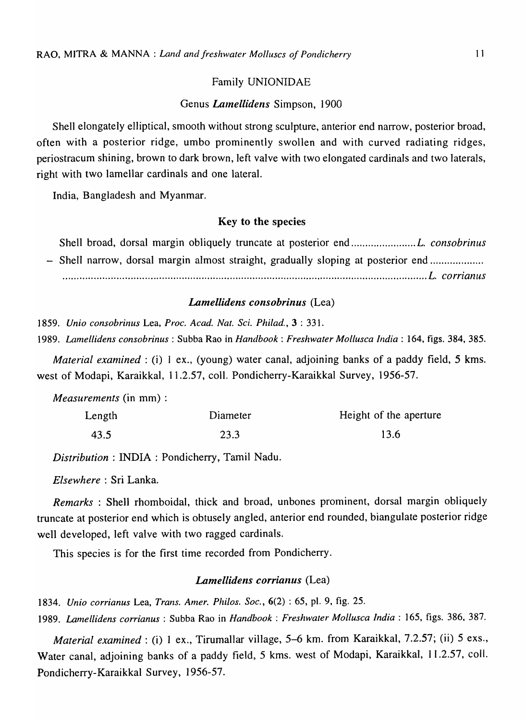# Family UNIONIDAE

# Genus *Lamellidens* Simpson, 1900

Shell elongately elliptical, smooth without strong sculpture, anterior end narrow, posterior broad, often with a posterior ridge, umbo prominently swollen and with curved radiating ridges, periostracum shining, brown to dark brown, left valve with two elongated cardinals and two laterals, right with two lamellar cardinals and one lateral.

India, Bangladesh and Myanmar.

# Key to the species

Shell broad, dorsal margin obliquely truncate at posterior end ....................... *L. consobrinus*  - Shell narrow, dorsal margin almost straight, gradually sloping at posterior end ............................ ............................................................................................................*..................... L. corrianus* 

#### *Lamellidens consobrinus* (Lea)

*1859. Unio consobrinus* Lea, *Proc.* A *cad. Nat. Sci. Philad.,* 3 : 33l.

*1989. Lamellidens consobrinus* : Subba Rao in *Handbook: Freshwater Mollusca India:* 164, figs. 384,385.

*Material examined* : (i) 1 ex., (young) water canal, adjoining banks of a paddy field, 5 kms. west of Modapi, Karaikkal, 11.2.57, colI. Pondicherry-Karaikkal Survey, 1956-57.

*Measurements* (in mm) :

| Length | Diameter | Height of the aperture |
|--------|----------|------------------------|
| 43.5   | 23.3     | 13.6                   |

*Distribution:* INDIA: Pondicherry, Tamil Nadu.

*Elsewhere:* Sri Lanka.

*Remarks* : Shell rhomboidal, thick and broad, unbones prominent, dorsal margin obliquely truncate at posterior end which is obtusely angled, anterior end rounded, biangulate posterior ridge well developed, left valve with two ragged cardinals.

This species is for the first time recorded from Pondicherry.

# *Lamellidens corrianus* (Lea)

*1834. Unio corrianus* Lea, *Trans. Amer. Philos. Soc.,* 6(2) : 65, pI. 9, fig. 25. *1989. Lamellidens corrianus* : Subba Rao in *Handbook: Freshwater Mollusca India:* 165, figs. 386, 387.

*Material examined:* (i) I ex., Tirumallar village, 5-6 km. from Karaikkal, 7.2.57; (ii) 5 exs., Water canal, adjoining banks of a paddy field, 5 kms. west of Modapi, Karaikkal, 11.2.57, colI. Pondicherry-Karaikkal Survey, 1956-57.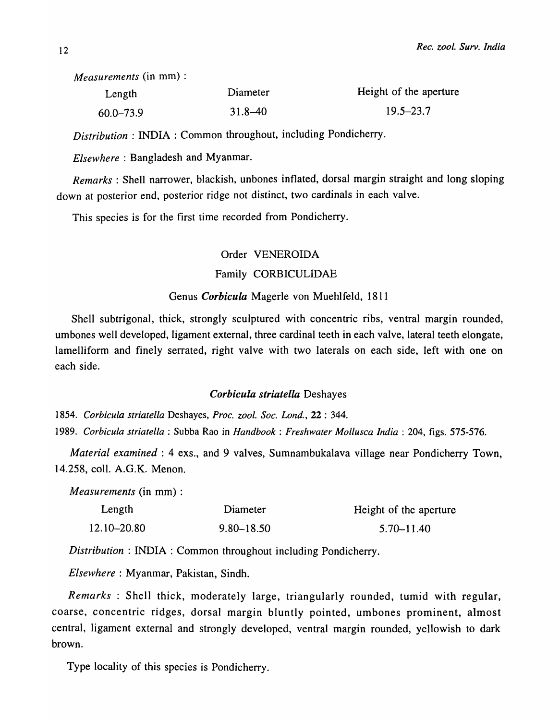*Measurements* (in mm) :

| Length        | Diameter    | Height of the aperture |
|---------------|-------------|------------------------|
| $60.0 - 73.9$ | $31.8 - 40$ | $19.5 - 23.7$          |

*Distribution* : INDIA: Common throughout, including Pondicherry.

*Elsewhere:* Bangladesh and Myanmar.

*Remarks:* Shell narrower, blackish, unbones inflated, dorsal margin straight and long sloping down at posterior end, posterior ridge not distinct, two cardinals in each valve.

This species is for the first time recorded from Pondicherry.

# Order VENEROIDA Family CORBICULIDAE

# Genus *Corbicula* Magerle von Muehlfeld, 1811

Shell subtrigonal, thick, strongly sculptured with concentric ribs, ventral margin rounded, umbones well developed, ligament external, three cardinal teeth in each valve, lateral teeth elongate, lamelliform and finely serrated, right valve with two laterals on each side, left with one on each side.

# *Corbicula striatella* Deshayes

*1854. Corbicula striatella* Deshayes, *Proc. zool. Soc. Lond.,* 22 : 344.

*1989. Corbicula striatella* : Subba Rao in *Handbook: Freshwater Mollusca India:* 204, figs. 575-576.

*Material examined:* 4 exs., and 9 valves, Sumnambukalava village near Pondicherry Town, 14.258, colI. A.G.K. Menon.

*Measurements* (in mm) :

| Length      | Diameter       | Height of the aperture |
|-------------|----------------|------------------------|
| 12.10–20.80 | $9.80 - 18.50$ | $5.70 - 11.40$         |

*Distribution:* INDIA: Common throughout including Pondicherry.

*Elsewhere:* Myanmar, Pakistan, Sindh.

*Remarks* : Shell thick, moderately large, triangularly rounded, tumid with regular, coarse, concentric ridges, dorsal margin bluntly pointed, umbones prominent, almost central, ligament external and strongly developed, ventral margin rounded, yeIlowish to dark brown.

Type locality of this species is Pondicherry.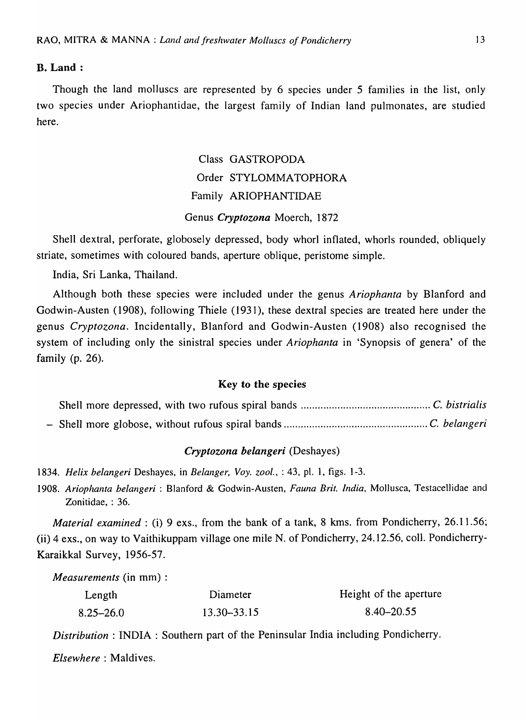#### B. Land:

Though the land molluscs are represented by 6 species under 5 families in the list, only two species under Ariophantidae, the largest family of Indian land pulmonates, are studied here.

# Class GASTROPODA Order STYLOMMATOPHORA Family ARIOPHANTIDAE Genus *Cryptozona* Moerch, 1872

Shell dextral, perforate, globosely depressed, body whorl inflated, whorls rounded, obliquely striate, sometimes with coloured bands, aperture oblique, peristome simple.

India, Sri Lanka, Thailand.

Although both these species were included under the genus *Ariophanta* by Blanford and Godwin-Austen (1908), following Thiele (1931), these dextral species are treated here under the genus *Cryptozona.* Incidentally, Blanford and Godwin-Austen (1908) also recognised the system of including only the sinistral species under *Ariophanta* in 'Synopsis of genera' of the family (p. 26).

## Key to the species

# *Cryptozona belangeri* (Deshayes)

*1834. Helix belanger;* Deshayes, in *Belanger, Voy. zoo!.,* : 43, pI. 1, figs. 1-3.

*1908. Ariophanta belangeri* : Blanford & Godwin-Austen, *Fauna Brit. India,* Mollusca, Testacellidae and Zonitidae, : 36.

*Material examined: (i)* 9 exs., from the bank of a tank, 8 kms. from Pondicherry, 26.11.56; (ii) 4 exs., on way to Vaithikuppam village one mile N. of Pondicherry, 24.12.56, colI. Pondicherry-KaraikkaI Survey, 1956-57.

*Measurements* (in mm) :

| Length        | Diameter    | Height of the aperture |
|---------------|-------------|------------------------|
| $8.25 - 26.0$ | 13.30–33.15 | $8.40 - 20.55$         |

*Distribution* : INDIA: Southern part of the Peninsular India including Pondicherry.

*Elsewhere:* Maldives.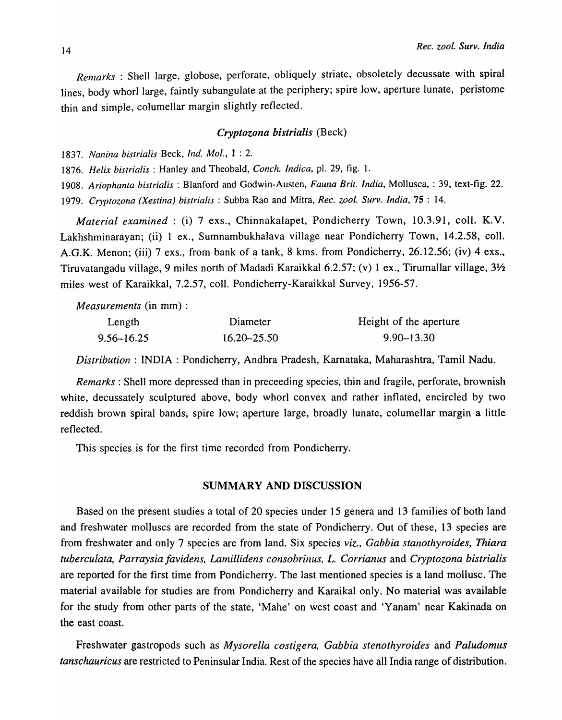*Renzarks* : Shell large, globose, perforate, obliquely striate, obsoletely decussate with spiral lines, body whorl large, faintly subangulate at the periphery; spire low, aperture lunate, peristome thin and simple, columellar margin slightly reflected.

## *Cryptozona bistrialis* (Beck)

*1837. Nal1ina bistrialis* Beck, *Ind. Mol.,* 1 : 2.

*1876. Helix bistrialis* : Hanley and Theobald, *Conch. Indica,* pI. 29, fig. 1.

*1908. Ariophanta bistrialis* : Blanford and Godwin-Austen, *Fauna Brit. India,* Mollusca, : 39, text-fig. 22. *1979. Cryptozona (Xestina) bistrialis* : Subba Rao and Mitra, *Rec. zool. Surv. India,* 75 : 14.

*Material examined:* (i) 7 exs., Chinnakalapet, Pondicherry Town, 10.3.91, coll. K.V. Lakhshminarayan; (ii) 1 ex., Sumnambukhalava village near Pondicherry Town, 14.2.58, coil. A.G.K. Menon; (iii) 7 exs., from bank of a tank, 8 kms. from Pondicherry, 26.12.56; (iv) 4 exs., Tiruvatangadu village, 9 miles north of Madadi Karaikkal 6.2.57; (v) 1 ex., Tirumallar village,  $3\frac{1}{2}$ miles west of Karaikkal, 7.2.57, colI. Pondicherry-Karaikkal Survey, 1956-57.

*Measurements* (in mm) :

| Length         | Diameter        | Height of the aperture |
|----------------|-----------------|------------------------|
| $9.56 - 16.25$ | $16.20 - 25.50$ | $9.90 - 13.30$         |

*Distribution:* INDIA: Pondicherry, Andhra Pradesh, Karnataka, Maharashtra, Tamil Nadu.

*Remarks:* Shell more depressed than in preceeding species, thin and fragile, perforate, brownish white, decussately sculptured above, body whorl convex and rather inflated, encircled by two reddish brown spiral bands, spire low; aperture large, broadly lunate, columellar margin a little reflected.

This species is for the first time recorded from Pondicherry.

# SUMMARY AND DISCUSSION

Based on the present studies a total of 20 species under 15 genera and 13 families of both land and freshwater molluscs are recorded from the state of Pondicherry. Out of these, 13 species are from freshwater and only 7 species are from land. Six species *viz., Gabbia stanothyroides, Thiara tuberculata, Parraysia favidens, Lanlillidens consobrinus, L. Corrianus* and *Cryptozona bistrialis*  are reported for the first time from Pondicherry. The last mentioned species is a land mollusc. The material available for studies are from Pondicherry and Karaikal only. No material was available for the study from other parts of the state, 'Mahe' on west coast and 'Yanam' near Kakinada on the east coast.

Freshwater gastropods such as *Mysorella costigera, Gabbia stenothyroides* and *Paludomus tanschauricus* are restricted to Peninsular India. Rest of the species have all India range of distribution.